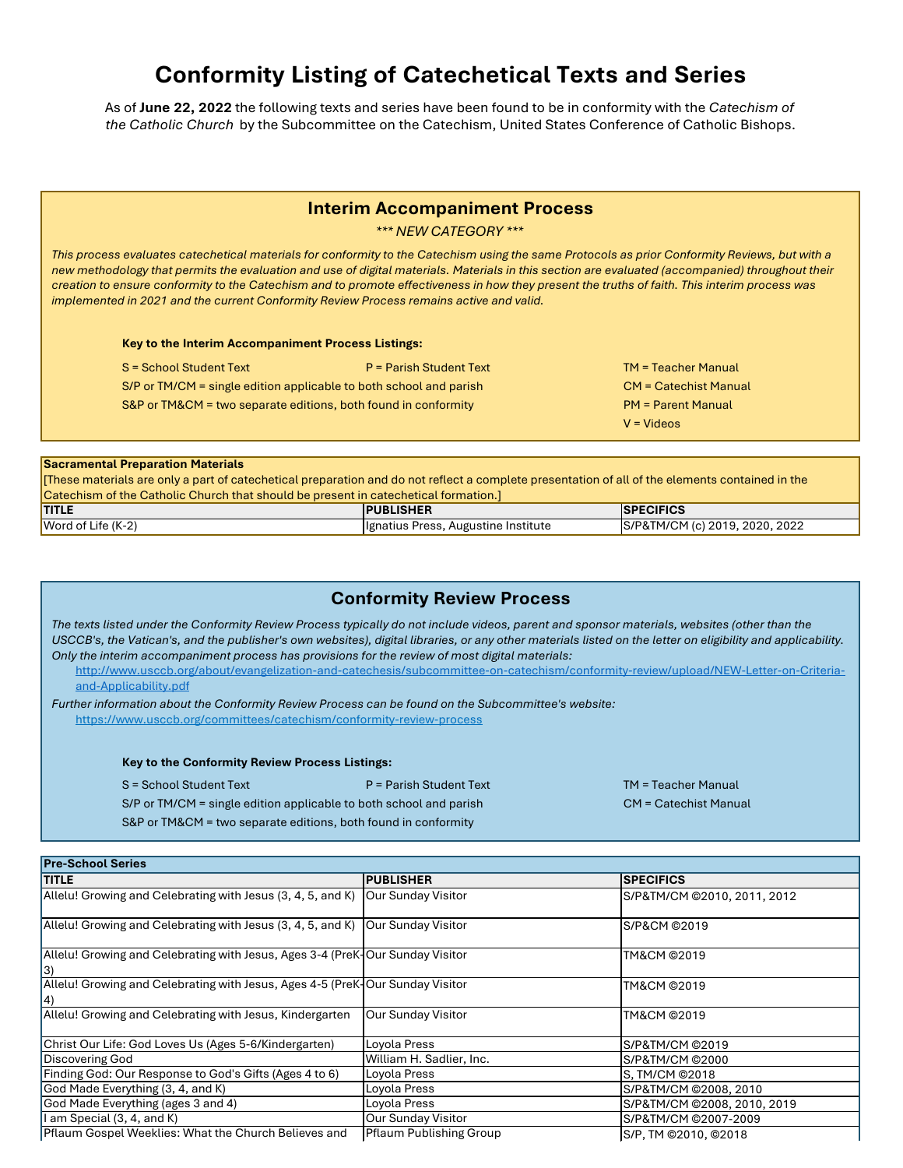# **Conformity Listing of Catechetical Texts and Series**

As of **June 22, 2022** the following texts and series have been found to be in conformity with the *Catechism of the Catholic Church* by the Subcommittee on the Catechism, United States Conference of Catholic Bishops.

### **Interim Accompaniment Process**

*\*\*\* NEW CATEGORY \*\*\**

*This process evaluates catechetical materials for conformity to the Catechism using the same Protocols as prior Conformity Reviews, but with a new methodology that permits the evaluation and use of digital materials. Materials in this section are evaluated (accompanied) throughout their creation to ensure conformity to the Catechism and to promote effectiveness in how they present the truths of faith. This interim process was implemented in 2021 and the current Conformity Review Process remains active and valid.*

**Key to the Interim Accompaniment Process Listings:**

S = School Student Text P = Parish Student Text Text TM = Teacher Manual

S&P or TM&CM = two separate editions, both found in conformity S/P or TM/CM = single edition applicable to both school and parish

- CM = Catechist Manual PM = Parent Manual
	- V = Videos

#### **Sacramental Preparation Materials**

[These materials are only a part of catechetical preparation and do not reflect a complete presentation of all of the elements contained in the Catechism of the Catholic Church that should be present in catechetical formation.]

| <b>TITLE</b>              | <b>PUBLISHER</b>                     | <b>ECIFICS</b><br>.SPF            |
|---------------------------|--------------------------------------|-----------------------------------|
| Word of L<br>Life $(K-2)$ | Hignatius Press, Augustine Institute | 2020, 2022<br>S/P&TM/CM (c) 2019, |

# **Conformity Review Process**

*The texts listed under the Conformity Review Process typically do not include videos, parent and sponsor materials, websites (other than the USCCB's, the Vatican's, and the publisher's own websites), digital libraries, or any other materials listed on the letter on eligibility and applicability. Only the interim accompaniment process has provisions for the review of most digital materials:*

[http://ww](http://www.usccb.org/about/evangelization-and-catechesis/subcommittee-on-catechism/conformity-review/upload/NEW-Letter-on-Criteria-and-Applicability.pdf)w.usccb.org/about/evangelization-and-catechesis/subcommittee-on-catechism/conformity-review/upload/NEW-Letter-on-Criteria[and-App](http://www.usccb.org/about/evangelization-and-catechesis/subcommittee-on-catechism/conformity-review/upload/NEW-Letter-on-Criteria-and-Applicability.pdf)licability.pdf

*Further information about the Conformity Review Process can be found on the Subcommittee's website:* [https://w](https://www.usccb.org/committees/catechism/conformity-review-process)ww.usccb.org/committees/catechism/conformity-review-process

**Key to the Conformity Review Process Listings:**

S = School Student Text P = Parish Student Text Text TM = Teacher Manual

CM = Catechist Manual

S&P or TM&CM = two separate editions, both found in conformity

S/P or TM/CM = single edition applicable to both school and parish

| <b>Pre-School Series</b>                                                            |                                |                             |
|-------------------------------------------------------------------------------------|--------------------------------|-----------------------------|
| <b>TITLE</b>                                                                        | <b>PUBLISHER</b>               | <b>SPECIFICS</b>            |
| Allelu! Growing and Celebrating with Jesus (3, 4, 5, and K)                         | Our Sunday Visitor             | S/P&TM/CM @2010, 2011, 2012 |
| Allelu! Growing and Celebrating with Jesus (3, 4, 5, and K)                         | Our Sunday Visitor             | S/P&CM ©2019                |
| Allelu! Growing and Celebrating with Jesus, Ages 3-4 (PreK-Our Sunday Visitor<br>13 |                                | TM&CM ©2019                 |
| Allelu! Growing and Celebrating with Jesus, Ages 4-5 (PreK-Our Sunday Visitor       |                                | TM&CM ©2019                 |
| Allelu! Growing and Celebrating with Jesus, Kindergarten                            | <b>Our Sunday Visitor</b>      | TM&CM ©2019                 |
| Christ Our Life: God Loves Us (Ages 5-6/Kindergarten)                               | Loyola Press                   | S/P&TM/CM @2019             |
| <b>Discovering God</b>                                                              | William H. Sadlier, Inc.       | S/P&TM/CM @2000             |
| Finding God: Our Response to God's Gifts (Ages 4 to 6)                              | Loyola Press                   | S, TM/CM ©2018              |
| God Made Everything (3, 4, and K)                                                   | Loyola Press                   | S/P&TM/CM @2008, 2010       |
| God Made Everything (ages 3 and 4)                                                  | Loyola Press                   | S/P&TM/CM @2008, 2010, 2019 |
| I am Special (3, 4, and K)                                                          | <b>Our Sunday Visitor</b>      | S/P&TM/CM @2007-2009        |
| Pflaum Gospel Weeklies: What the Church Believes and                                | <b>Pflaum Publishing Group</b> | S/P, TM ©2010, ©2018        |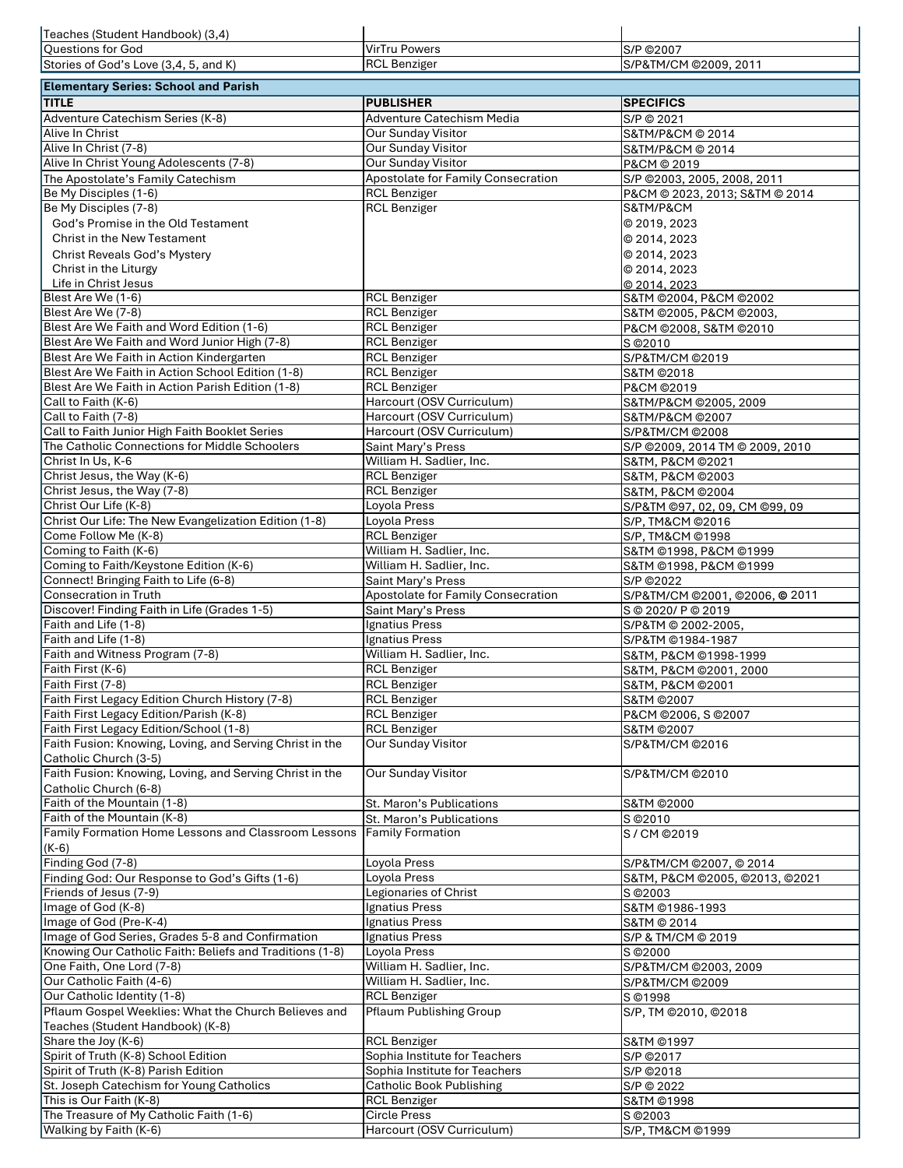| Teaches (Student Handbook) (3,4)                                                               |                                            |                                            |
|------------------------------------------------------------------------------------------------|--------------------------------------------|--------------------------------------------|
| <b>Questions for God</b>                                                                       | <b>VirTru Powers</b>                       | S/P ©2007                                  |
| Stories of God's Love (3,4, 5, and K)                                                          | <b>RCL Benziger</b>                        | S/P&TM/CM @2009, 2011                      |
| <b>Elementary Series: School and Parish</b>                                                    |                                            |                                            |
| <b>TITLE</b>                                                                                   | <b>PUBLISHER</b>                           | <b>SPECIFICS</b>                           |
| Adventure Catechism Series (K-8)                                                               | <b>Adventure Catechism Media</b>           | S/P © 2021                                 |
| Alive In Christ                                                                                | <b>Our Sunday Visitor</b>                  | S&TM/P&CM @ 2014                           |
| Alive In Christ (7-8)                                                                          | <b>Our Sunday Visitor</b>                  | S&TM/P&CM © 2014                           |
| Alive In Christ Young Adolescents (7-8)                                                        | <b>Our Sunday Visitor</b>                  | P&CM © 2019                                |
| The Apostolate's Family Catechism                                                              | <b>Apostolate for Family Consecration</b>  | S/P @2003, 2005, 2008, 2011                |
| Be My Disciples (1-6)                                                                          | <b>RCL Benziger</b>                        | P&CM @ 2023, 2013; S&TM @ 2014             |
| Be My Disciples (7-8)                                                                          | <b>RCL Benziger</b>                        | S&TM/P&CM                                  |
| God's Promise in the Old Testament                                                             |                                            | © 2019, 2023                               |
| <b>Christ in the New Testament</b>                                                             |                                            | © 2014, 2023                               |
| <b>Christ Reveals God's Mystery</b>                                                            |                                            | © 2014, 2023                               |
| Christ in the Liturgy                                                                          |                                            | © 2014, 2023                               |
| Life in Christ Jesus                                                                           |                                            | © 2014, 2023                               |
| Blest Are We (1-6)                                                                             | <b>RCL Benziger</b>                        | S&TM @2004, P&CM @2002                     |
| Blest Are We (7-8)                                                                             | <b>RCL Benziger</b>                        | S&TM ©2005, P&CM ©2003,                    |
| Blest Are We Faith and Word Edition (1-6)                                                      | <b>RCL Benziger</b>                        | P&CM ©2008, S&TM ©2010                     |
| Blest Are We Faith and Word Junior High (7-8)                                                  | <b>RCL Benziger</b>                        | S © 2010                                   |
| Blest Are We Faith in Action Kindergarten<br>Blest Are We Faith in Action School Edition (1-8) | <b>RCL Benziger</b>                        | S/P&TM/CM @2019                            |
| Blest Are We Faith in Action Parish Edition (1-8)                                              | <b>RCL Benziger</b><br><b>RCL Benziger</b> | <b>S&amp;TM ©2018</b><br>P&CM ©2019        |
| Call to Faith (K-6)                                                                            | Harcourt (OSV Curriculum)                  | S&TM/P&CM @2005, 2009                      |
| Call to Faith (7-8)                                                                            | Harcourt (OSV Curriculum)                  | S&TM/P&CM ©2007                            |
| Call to Faith Junior High Faith Booklet Series                                                 | Harcourt (OSV Curriculum)                  | S/P&TM/CM @2008                            |
| The Catholic Connections for Middle Schoolers                                                  | Saint Mary's Press                         | S/P @2009, 2014 TM @ 2009, 2010            |
| Christ In Us, K-6                                                                              | William H. Sadlier, Inc.                   | S&TM, P&CM @2021                           |
| Christ Jesus, the Way (K-6)                                                                    | <b>RCL Benziger</b>                        | S&TM, P&CM ©2003                           |
| Christ Jesus, the Way (7-8)                                                                    | <b>RCL Benziger</b>                        | S&TM, P&CM ©2004                           |
| Christ Our Life (K-8)                                                                          | Loyola Press                               | S/P&TM ©97, 02, 09, CM ©99, 09             |
| Christ Our Life: The New Evangelization Edition (1-8)                                          | Loyola Press                               | S/P, TM&CM ©2016                           |
| Come Follow Me (K-8)                                                                           | <b>RCL Benziger</b>                        | S/P, TM&CM ©1998                           |
| Coming to Faith (K-6)                                                                          | William H. Sadlier, Inc.                   | S&TM ©1998, P&CM ©1999                     |
| Coming to Faith/Keystone Edition (K-6)                                                         | William H. Sadlier, Inc.                   | S&TM ©1998, P&CM ©1999                     |
| Connect! Bringing Faith to Life (6-8)                                                          | Saint Mary's Press                         | S/P ©2022                                  |
| <b>Consecration in Truth</b>                                                                   | <b>Apostolate for Family Consecration</b>  | S/P&TM/CM @2001, @2006, @ 2011             |
| Discover! Finding Faith in Life (Grades 1-5)                                                   | Saint Mary's Press                         | S © 2020/ P © 2019                         |
| Faith and Life (1-8)<br>Faith and Life (1-8)                                                   | Ignatius Press                             | S/P&TM @ 2002-2005,                        |
| Faith and Witness Program (7-8)                                                                | Ignatius Press<br>William H. Sadlier, Inc. | S/P&TM ©1984-1987<br>S&TM, P&CM ©1998-1999 |
| Faith First (K-6)                                                                              | <b>RCL Benziger</b>                        | S&TM, P&CM ©2001, 2000                     |
| Faith First (7-8)                                                                              | <b>RCL Benziger</b>                        | S&TM, P&CM ©2001                           |
| Faith First Legacy Edition Church History (7-8)                                                | <b>RCL Benziger</b>                        | S&TM @2007                                 |
| Faith First Legacy Edition/Parish (K-8)                                                        | <b>RCL Benziger</b>                        | P&CM ©2006, S ©2007                        |
| Faith First Legacy Edition/School (1-8)                                                        | <b>RCL Benziger</b>                        | S&TM ©2007                                 |
| Faith Fusion: Knowing, Loving, and Serving Christ in the                                       | <b>Our Sunday Visitor</b>                  | S/P&TM/CM @2016                            |
| Catholic Church (3-5)                                                                          |                                            |                                            |
| Faith Fusion: Knowing, Loving, and Serving Christ in the                                       | <b>Our Sunday Visitor</b>                  | S/P&TM/CM @2010                            |
| Catholic Church (6-8)                                                                          |                                            |                                            |
| Faith of the Mountain (1-8)                                                                    | St. Maron's Publications                   | <b>S&amp;TM ©2000</b>                      |
| Faith of the Mountain (K-8)                                                                    | St. Maron's Publications                   | S © 2010                                   |
| Family Formation Home Lessons and Classroom Lessons                                            | <b>Family Formation</b>                    | S/CM ©2019                                 |
| $(K-6)$                                                                                        |                                            |                                            |
| Finding God (7-8)                                                                              | Loyola Press                               | S/P&TM/CM @2007, @2014                     |
| Finding God: Our Response to God's Gifts (1-6)                                                 | Loyola Press                               | S&TM, P&CM ©2005, ©2013, ©2021             |
| Friends of Jesus (7-9)                                                                         | Legionaries of Christ                      | S © 2003                                   |
| Image of God (K-8)<br>Image of God (Pre-K-4)                                                   | Ignatius Press<br>Ignatius Press           | S&TM ©1986-1993                            |
| Image of God Series, Grades 5-8 and Confirmation                                               | Ignatius Press                             | S&TM © 2014<br>S/P & TM/CM @ 2019          |
| Knowing Our Catholic Faith: Beliefs and Traditions (1-8)                                       | Loyola Press                               | S © 2000                                   |
| One Faith, One Lord (7-8)                                                                      | William H. Sadlier, Inc.                   | S/P&TM/CM @2003, 2009                      |
| Our Catholic Faith (4-6)                                                                       | William H. Sadlier, Inc.                   | S/P&TM/CM @2009                            |
| Our Catholic Identity (1-8)                                                                    | <b>RCL Benziger</b>                        | S ©1998                                    |
| Pflaum Gospel Weeklies: What the Church Believes and                                           | <b>Pflaum Publishing Group</b>             | S/P, TM @2010, @2018                       |
| Teaches (Student Handbook) (K-8)                                                               |                                            |                                            |
| Share the Joy (K-6)                                                                            | <b>RCL Benziger</b>                        | <b>S&amp;TM ©1997</b>                      |
| Spirit of Truth (K-8) School Edition                                                           | Sophia Institute for Teachers              | S/P ©2017                                  |
| Spirit of Truth (K-8) Parish Edition                                                           | Sophia Institute for Teachers              | S/P ©2018                                  |
| St. Joseph Catechism for Young Catholics                                                       | <b>Catholic Book Publishing</b>            | S/P © 2022                                 |
| This is Our Faith (K-8)                                                                        | <b>RCL Benziger</b>                        | S&TM ©1998                                 |
| The Treasure of My Catholic Faith (1-6)                                                        | <b>Circle Press</b>                        | S © 2003                                   |
| Walking by Faith (K-6)                                                                         | Harcourt (OSV Curriculum)                  | S/P, TM&CM ©1999                           |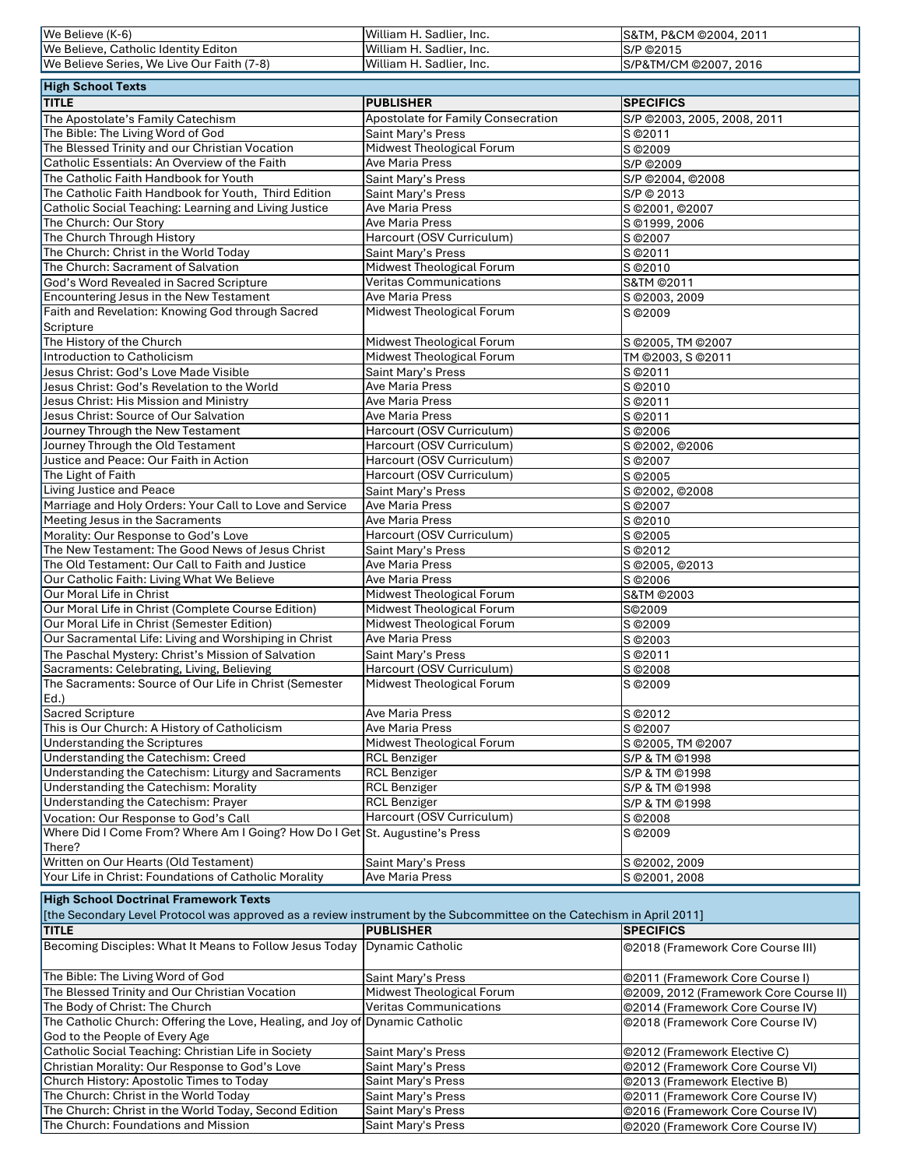| We Believe (K-6)                                                                                                      | William H. Sadlier, Inc.                                   | S&TM, P&CM ©2004, 2011                                                     |
|-----------------------------------------------------------------------------------------------------------------------|------------------------------------------------------------|----------------------------------------------------------------------------|
| We Believe, Catholic Identity Editon                                                                                  | William H. Sadlier, Inc.                                   | S/P ©2015                                                                  |
| We Believe Series, We Live Our Faith (7-8)                                                                            | William H. Sadlier, Inc.                                   | S/P&TM/CM @2007, 2016                                                      |
| <b>High School Texts</b>                                                                                              |                                                            |                                                                            |
| <b>TITLE</b>                                                                                                          | <b>PUBLISHER</b>                                           | <b>SPECIFICS</b>                                                           |
|                                                                                                                       | <b>Apostolate for Family Consecration</b>                  |                                                                            |
| The Apostolate's Family Catechism<br>The Bible: The Living Word of God                                                | Saint Mary's Press                                         | S/P @2003, 2005, 2008, 2011<br>S © 2011                                    |
| The Blessed Trinity and our Christian Vocation                                                                        | <b>Midwest Theological Forum</b>                           | S © 2009                                                                   |
| Catholic Essentials: An Overview of the Faith                                                                         | <b>Ave Maria Press</b>                                     | S/P ©2009                                                                  |
| The Catholic Faith Handbook for Youth                                                                                 | Saint Mary's Press                                         | S/P ©2004, ©2008                                                           |
| The Catholic Faith Handbook for Youth, Third Edition                                                                  | Saint Mary's Press                                         | S/P © 2013                                                                 |
| Catholic Social Teaching: Learning and Living Justice                                                                 | <b>Ave Maria Press</b>                                     | S © 2001, © 2007                                                           |
| The Church: Our Story                                                                                                 | <b>Ave Maria Press</b>                                     | S ©1999, 2006                                                              |
| The Church Through History                                                                                            | Harcourt (OSV Curriculum)                                  | S © 2007                                                                   |
| The Church: Christ in the World Today                                                                                 | Saint Mary's Press                                         | S © 2011                                                                   |
| The Church: Sacrament of Salvation                                                                                    | Midwest Theological Forum                                  | S © 2010                                                                   |
| God's Word Revealed in Sacred Scripture                                                                               | Veritas Communications                                     | S&TM ©2011                                                                 |
| <b>Encountering Jesus in the New Testament</b>                                                                        | <b>Ave Maria Press</b>                                     | S @2003, 2009                                                              |
| Faith and Revelation: Knowing God through Sacred                                                                      | Midwest Theological Forum                                  | S © 2009                                                                   |
| Scripture                                                                                                             |                                                            |                                                                            |
| The History of the Church                                                                                             | Midwest Theological Forum                                  | S @2005, TM @2007                                                          |
| Introduction to Catholicism                                                                                           | <b>Midwest Theological Forum</b>                           | TM @2003, S @2011                                                          |
| Jesus Christ: God's Love Made Visible<br>Jesus Christ: God's Revelation to the World                                  | Saint Mary's Press<br><b>Ave Maria Press</b>               | S © 2011<br>S © 2010                                                       |
| Jesus Christ: His Mission and Ministry                                                                                | <b>Ave Maria Press</b>                                     | S © 2011                                                                   |
| Jesus Christ: Source of Our Salvation                                                                                 | <b>Ave Maria Press</b>                                     | S © 2011                                                                   |
| Journey Through the New Testament                                                                                     | Harcourt (OSV Curriculum)                                  | S © 2006                                                                   |
| Journey Through the Old Testament                                                                                     | Harcourt (OSV Curriculum)                                  | S @2002, @2006                                                             |
| Justice and Peace: Our Faith in Action                                                                                | Harcourt (OSV Curriculum)                                  | S © 2007                                                                   |
| The Light of Faith                                                                                                    | Harcourt (OSV Curriculum)                                  | S © 2005                                                                   |
| Living Justice and Peace                                                                                              | Saint Mary's Press                                         | S ©2002, ©2008                                                             |
| Marriage and Holy Orders: Your Call to Love and Service                                                               | <b>Ave Maria Press</b>                                     | S @2007                                                                    |
| Meeting Jesus in the Sacraments                                                                                       | <b>Ave Maria Press</b>                                     | S © 2010                                                                   |
| Morality: Our Response to God's Love                                                                                  | Harcourt (OSV Curriculum)                                  | S © 2005                                                                   |
| The New Testament: The Good News of Jesus Christ                                                                      | Saint Mary's Press                                         | S © 2012                                                                   |
| The Old Testament: Our Call to Faith and Justice                                                                      | <b>Ave Maria Press</b>                                     | S ©2005, ©2013                                                             |
| Our Catholic Faith: Living What We Believe                                                                            | <b>Ave Maria Press</b>                                     | S © 2006                                                                   |
| Our Moral Life in Christ                                                                                              | Midwest Theological Forum                                  | S&TM @2003                                                                 |
| Our Moral Life in Christ (Complete Course Edition)                                                                    | Midwest Theological Forum                                  | S©2009                                                                     |
| Our Moral Life in Christ (Semester Edition)                                                                           | Midwest Theological Forum                                  | S © 2009                                                                   |
| Our Sacramental Life: Living and Worshiping in Christ                                                                 | <b>Ave Maria Press</b>                                     | S © 2003                                                                   |
| The Paschal Mystery: Christ's Mission of Salvation<br>Sacraments: Celebrating, Living, Believing                      | Saint Mary's Press<br>Harcourt (OSV Curriculum)            | S © 2011<br>S © 2008                                                       |
| The Sacraments: Source of Our Life in Christ (Semester                                                                | Midwest Theological Forum                                  | S © 2009                                                                   |
| $Ed.$ )                                                                                                               |                                                            |                                                                            |
| <b>Sacred Scripture</b>                                                                                               | <b>Ave Maria Press</b>                                     | S © 2012                                                                   |
| This is Our Church: A History of Catholicism                                                                          | <b>Ave Maria Press</b>                                     | S © 2007                                                                   |
| <b>Understanding the Scriptures</b>                                                                                   | Midwest Theological Forum                                  | S @2005, TM @2007                                                          |
| Understanding the Catechism: Creed                                                                                    | <b>RCL Benziger</b>                                        | S/P & TM @1998                                                             |
| Understanding the Catechism: Liturgy and Sacraments                                                                   | <b>RCL Benziger</b>                                        | S/P & TM ©1998                                                             |
| Understanding the Catechism: Morality                                                                                 | <b>RCL Benziger</b>                                        | S/P & TM ©1998                                                             |
| Understanding the Catechism: Prayer                                                                                   | <b>RCL Benziger</b>                                        | S/P & TM ©1998                                                             |
| Vocation: Our Response to God's Call                                                                                  | Harcourt (OSV Curriculum)                                  | S © 2008                                                                   |
| Where Did I Come From? Where Am I Going? How Do I Get St. Augustine's Press                                           |                                                            | S © 2009                                                                   |
| There?                                                                                                                |                                                            |                                                                            |
| Written on Our Hearts (Old Testament)                                                                                 | Saint Mary's Press                                         | S @2002, 2009                                                              |
| Your Life in Christ: Foundations of Catholic Morality                                                                 | <b>Ave Maria Press</b>                                     | S @2001, 2008                                                              |
| <b>High School Doctrinal Framework Texts</b>                                                                          |                                                            |                                                                            |
| [the Secondary Level Protocol was approved as a review instrument by the Subcommittee on the Catechism in April 2011] |                                                            |                                                                            |
| <b>TITLE</b>                                                                                                          | <b>PUBLISHER</b>                                           | <b>SPECIFICS</b>                                                           |
| Becoming Disciples: What It Means to Follow Jesus Today Dynamic Catholic                                              |                                                            | ©2018 (Framework Core Course III)                                          |
|                                                                                                                       |                                                            |                                                                            |
| The Bible: The Living Word of God<br>The Blessed Trinity and Our Christian Vocation                                   | Saint Mary's Press                                         | ©2011 (Framework Core Course I)                                            |
| The Body of Christ: The Church                                                                                        | Midwest Theological Forum<br><b>Veritas Communications</b> | ©2009, 2012 (Framework Core Course II)<br>©2014 (Framework Core Course IV) |
| The Catholic Church: Offering the Love, Healing, and Joy of Dynamic Catholic                                          |                                                            | ©2018 (Framework Core Course IV)                                           |
| God to the People of Every Age                                                                                        |                                                            |                                                                            |
| Catholic Social Teaching: Christian Life in Society                                                                   | Saint Mary's Press                                         | ©2012 (Framework Elective C)                                               |
| Christian Morality: Our Response to God's Love                                                                        | Saint Mary's Press                                         | ©2012 (Framework Core Course VI)                                           |
| Church History: Apostolic Times to Today                                                                              | Saint Mary's Press                                         | ©2013 (Framework Elective B)                                               |
| The Church: Christ in the World Today                                                                                 | Saint Mary's Press                                         | @2011 (Framework Core Course IV)                                           |
| The Church: Christ in the World Today, Second Edition                                                                 | Saint Mary's Press                                         | ©2016 (Framework Core Course IV)                                           |
| The Church: Foundations and Mission                                                                                   | Saint Mary's Press                                         | @2020 (Framework Core Course IV)                                           |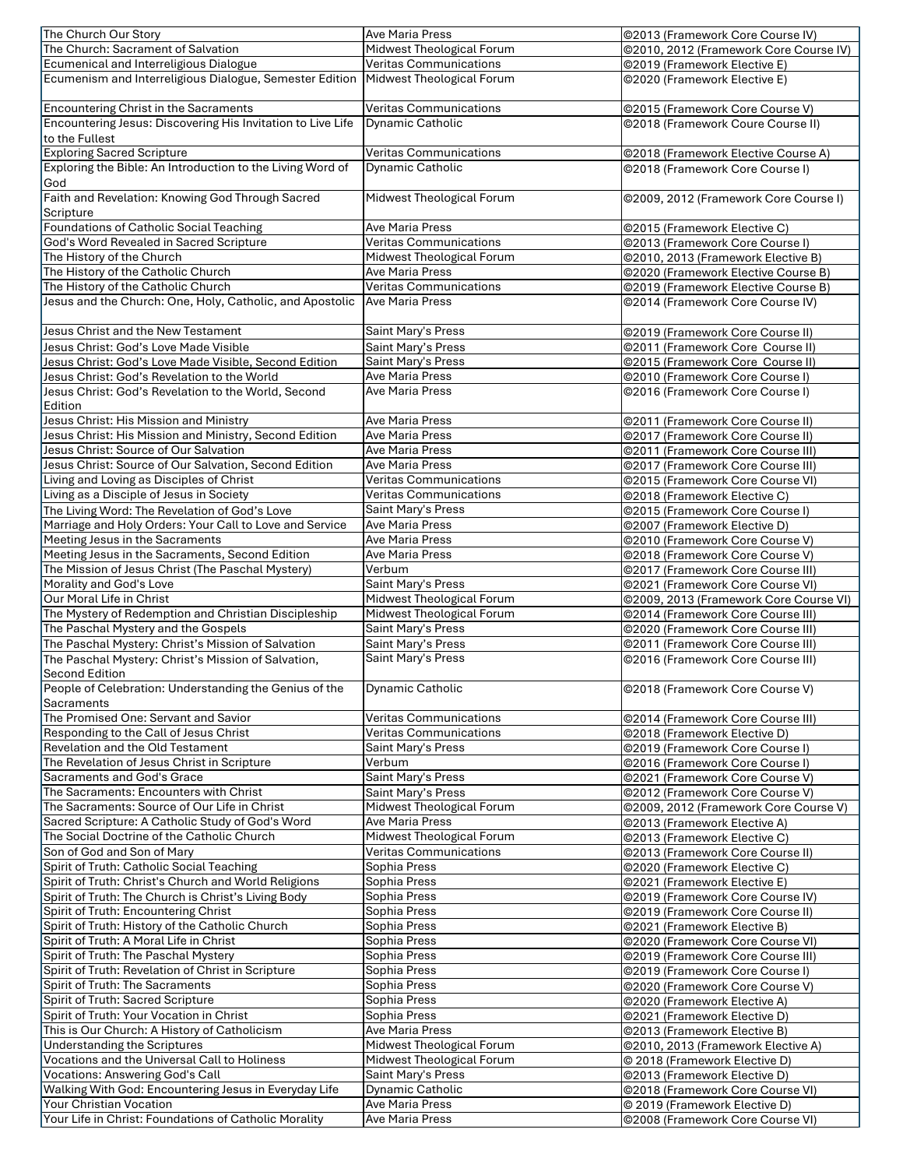| The Church Our Story                                                                       | <b>Ave Maria Press</b>        | ©2013 (Framework Core Course IV)                             |
|--------------------------------------------------------------------------------------------|-------------------------------|--------------------------------------------------------------|
| The Church: Sacrament of Salvation                                                         | Midwest Theological Forum     | @2010, 2012 (Framework Core Course IV)                       |
| Ecumenical and Interreligious Dialogue                                                     | <b>Veritas Communications</b> | ©2019 (Framework Elective E)                                 |
| Ecumenism and Interreligious Dialogue, Semester Edition                                    | Midwest Theological Forum     | ©2020 (Framework Elective E)                                 |
|                                                                                            |                               |                                                              |
| <b>Encountering Christ in the Sacraments</b>                                               | <b>Veritas Communications</b> | ©2015 (Framework Core Course V)                              |
| Encountering Jesus: Discovering His Invitation to Live Life                                | <b>Dynamic Catholic</b>       | @2018 (Framework Coure Course II)                            |
| to the Fullest                                                                             |                               |                                                              |
| <b>Exploring Sacred Scripture</b>                                                          | <b>Veritas Communications</b> | ©2018 (Framework Elective Course A)                          |
| Exploring the Bible: An Introduction to the Living Word of                                 | <b>Dynamic Catholic</b>       | @2018 (Framework Core Course I)                              |
| <b>God</b>                                                                                 |                               |                                                              |
| Faith and Revelation: Knowing God Through Sacred                                           | Midwest Theological Forum     | ©2009, 2012 (Framework Core Course I)                        |
| Scripture                                                                                  |                               |                                                              |
| Foundations of Catholic Social Teaching                                                    | <b>Ave Maria Press</b>        | ©2015 (Framework Elective C)                                 |
| God's Word Revealed in Sacred Scripture                                                    | <b>Veritas Communications</b> | ©2013 (Framework Core Course I)                              |
| The History of the Church                                                                  | Midwest Theological Forum     | ©2010, 2013 (Framework Elective B)                           |
| The History of the Catholic Church                                                         | <b>Ave Maria Press</b>        | ©2020 (Framework Elective Course B)                          |
| The History of the Catholic Church                                                         | <b>Veritas Communications</b> | ©2019 (Framework Elective Course B)                          |
| Jesus and the Church: One, Holy, Catholic, and Apostolic                                   | <b>Ave Maria Press</b>        | ©2014 (Framework Core Course IV)                             |
|                                                                                            |                               |                                                              |
| Jesus Christ and the New Testament                                                         | Saint Mary's Press            | ©2019 (Framework Core Course II)                             |
| Jesus Christ: God's Love Made Visible                                                      | Saint Mary's Press            | @2011 (Framework Core Course II)                             |
| Jesus Christ: God's Love Made Visible, Second Edition                                      | Saint Mary's Press            | ©2015 (Framework Core Course II)                             |
| Jesus Christ: God's Revelation to the World                                                | <b>Ave Maria Press</b>        | @2010 (Framework Core Course I)                              |
| Jesus Christ: God's Revelation to the World, Second                                        | <b>Ave Maria Press</b>        | ©2016 (Framework Core Course I)                              |
| Edition                                                                                    |                               |                                                              |
| Jesus Christ: His Mission and Ministry                                                     | <b>Ave Maria Press</b>        | ©2011 (Framework Core Course II)                             |
| Jesus Christ: His Mission and Ministry, Second Edition                                     | <b>Ave Maria Press</b>        | ©2017 (Framework Core Course II)                             |
| Jesus Christ: Source of Our Salvation                                                      | <b>Ave Maria Press</b>        | ©2011 (Framework Core Course III)                            |
| Jesus Christ: Source of Our Salvation, Second Edition                                      | <b>Ave Maria Press</b>        | @2017 (Framework Core Course III)                            |
| Living and Loving as Disciples of Christ                                                   | <b>Veritas Communications</b> | ©2015 (Framework Core Course VI)                             |
| Living as a Disciple of Jesus in Society                                                   | Veritas Communications        | ©2018 (Framework Elective C)                                 |
| The Living Word: The Revelation of God's Love                                              | Saint Mary's Press            | ©2015 (Framework Core Course I)                              |
| Marriage and Holy Orders: Your Call to Love and Service                                    | <b>Ave Maria Press</b>        | ©2007 (Framework Elective D)                                 |
| Meeting Jesus in the Sacraments                                                            | <b>Ave Maria Press</b>        | ©2010 (Framework Core Course V)                              |
| Meeting Jesus in the Sacraments, Second Edition                                            | <b>Ave Maria Press</b>        | ©2018 (Framework Core Course V)                              |
| The Mission of Jesus Christ (The Paschal Mystery)                                          | Verbum                        | ©2017 (Framework Core Course III)                            |
| Morality and God's Love                                                                    | Saint Mary's Press            | @2021 (Framework Core Course VI)                             |
| Our Moral Life in Christ                                                                   | Midwest Theological Forum     | @2009, 2013 (Framework Core Course VI)                       |
| The Mystery of Redemption and Christian Discipleship                                       | Midwest Theological Forum     | ©2014 (Framework Core Course III)                            |
| The Paschal Mystery and the Gospels                                                        | Saint Mary's Press            | @2020 (Framework Core Course III)                            |
| The Paschal Mystery: Christ's Mission of Salvation                                         | Saint Mary's Press            | ©2011 (Framework Core Course III)                            |
| The Paschal Mystery: Christ's Mission of Salvation,                                        | Saint Mary's Press            | ©2016 (Framework Core Course III)                            |
| <b>Second Edition</b>                                                                      |                               |                                                              |
| People of Celebration: Understanding the Genius of the                                     | <b>Dynamic Catholic</b>       | @2018 (Framework Core Course V)                              |
| Sacraments                                                                                 |                               |                                                              |
| The Promised One: Servant and Savior                                                       | <b>Veritas Communications</b> | ©2014 (Framework Core Course III)                            |
| Responding to the Call of Jesus Christ                                                     | <b>Veritas Communications</b> | ©2018 (Framework Elective D)                                 |
| <b>Revelation and the Old Testament</b>                                                    | Saint Mary's Press            | ©2019 (Framework Core Course I)                              |
| The Revelation of Jesus Christ in Scripture                                                | Verbum                        | ©2016 (Framework Core Course I)                              |
| <b>Sacraments and God's Grace</b>                                                          | Saint Mary's Press            | ©2021 (Framework Core Course V)                              |
| The Sacraments: Encounters with Christ                                                     | Saint Mary's Press            | @2012 (Framework Core Course V)                              |
| The Sacraments: Source of Our Life in Christ                                               | Midwest Theological Forum     | ©2009, 2012 (Framework Core Course V)                        |
| Sacred Scripture: A Catholic Study of God's Word                                           | <b>Ave Maria Press</b>        | ©2013 (Framework Elective A)                                 |
| The Social Doctrine of the Catholic Church                                                 | Midwest Theological Forum     | ©2013 (Framework Elective C)                                 |
| Son of God and Son of Mary                                                                 | <b>Veritas Communications</b> | @2013 (Framework Core Course II)                             |
| Spirit of Truth: Catholic Social Teaching                                                  | Sophia Press                  | ©2020 (Framework Elective C)                                 |
| Spirit of Truth: Christ's Church and World Religions                                       | Sophia Press                  | ©2021 (Framework Elective E)                                 |
| Spirit of Truth: The Church is Christ's Living Body                                        | Sophia Press                  | ©2019 (Framework Core Course IV)                             |
| Spirit of Truth: Encountering Christ                                                       | Sophia Press                  | @2019 (Framework Core Course II)                             |
| Spirit of Truth: History of the Catholic Church<br>Spirit of Truth: A Moral Life in Christ | Sophia Press                  | ©2021 (Framework Elective B)                                 |
|                                                                                            | Sophia Press                  | @2020 (Framework Core Course VI)                             |
| Spirit of Truth: The Paschal Mystery<br>Spirit of Truth: Revelation of Christ in Scripture | Sophia Press<br>Sophia Press  | ©2019 (Framework Core Course III)                            |
|                                                                                            | Sophia Press                  | ©2019 (Framework Core Course I)                              |
| <b>Spirit of Truth: The Sacraments</b><br>Spirit of Truth: Sacred Scripture                | Sophia Press                  | ©2020 (Framework Core Course V)                              |
| Spirit of Truth: Your Vocation in Christ                                                   | Sophia Press                  | ©2020 (Framework Elective A)                                 |
| This is Our Church: A History of Catholicism                                               | <b>Ave Maria Press</b>        | ©2021 (Framework Elective D)<br>©2013 (Framework Elective B) |
| <b>Understanding the Scriptures</b>                                                        | Midwest Theological Forum     | ©2010, 2013 (Framework Elective A)                           |
| Vocations and the Universal Call to Holiness                                               | Midwest Theological Forum     | © 2018 (Framework Elective D)                                |
| <b>Vocations: Answering God's Call</b>                                                     | Saint Mary's Press            | ©2013 (Framework Elective D)                                 |
| Walking With God: Encountering Jesus in Everyday Life                                      | <b>Dynamic Catholic</b>       | ©2018 (Framework Core Course VI)                             |
| Your Christian Vocation                                                                    | <b>Ave Maria Press</b>        | © 2019 (Framework Elective D)                                |
| Your Life in Christ: Foundations of Catholic Morality                                      | <b>Ave Maria Press</b>        | ©2008 (Framework Core Course VI)                             |
|                                                                                            |                               |                                                              |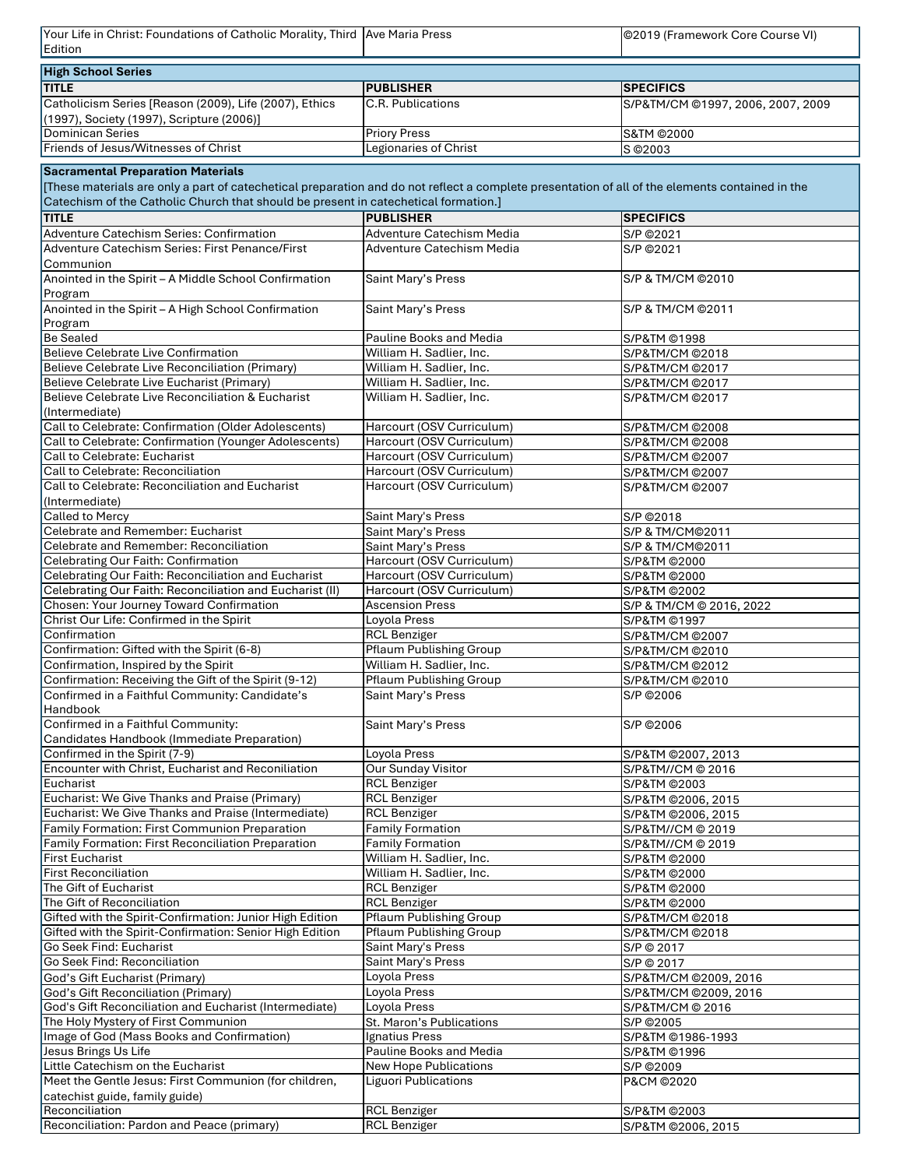| Your Life in Christ: Foundations of Catholic Morality, Third Ave Maria Press                                                                                                                |                                                | ©2019 (Framework Core Course VI)        |
|---------------------------------------------------------------------------------------------------------------------------------------------------------------------------------------------|------------------------------------------------|-----------------------------------------|
| Edition                                                                                                                                                                                     |                                                |                                         |
| <b>High School Series</b>                                                                                                                                                                   |                                                |                                         |
| <b>TITLE</b>                                                                                                                                                                                | <b>PUBLISHER</b>                               | <b>SPECIFICS</b>                        |
| Catholicism Series [Reason (2009), Life (2007), Ethics<br>(1997), Society (1997), Scripture (2006)]                                                                                         | C.R. Publications                              | S/P&TM/CM @1997, 2006, 2007, 2009       |
| <b>Dominican Series</b>                                                                                                                                                                     | <b>Priory Press</b>                            | <b>S&amp;TM ©2000</b>                   |
| Friends of Jesus/Witnesses of Christ                                                                                                                                                        | <b>Legionaries of Christ</b>                   | S © 2003                                |
| <b>Sacramental Preparation Materials</b><br>[These materials are only a part of catechetical preparation and do not reflect a complete presentation of all of the elements contained in the |                                                |                                         |
| Catechism of the Catholic Church that should be present in catechetical formation.]                                                                                                         |                                                |                                         |
| <b>TITLE</b>                                                                                                                                                                                | <b>PUBLISHER</b>                               | <b>SPECIFICS</b>                        |
| Adventure Catechism Series: Confirmation                                                                                                                                                    | <b>Adventure Catechism Media</b>               | S/P ©2021                               |
| Adventure Catechism Series: First Penance/First<br>Communion                                                                                                                                | <b>Adventure Catechism Media</b>               | S/P ©2021                               |
| Anointed in the Spirit - A Middle School Confirmation<br>Program                                                                                                                            | Saint Mary's Press                             | S/P & TM/CM @2010                       |
| Anointed in the Spirit - A High School Confirmation<br>Program                                                                                                                              | Saint Mary's Press                             | S/P & TM/CM @2011                       |
| <b>Be Sealed</b>                                                                                                                                                                            | <b>Pauline Books and Media</b>                 | S/P&TM ©1998                            |
| <b>Believe Celebrate Live Confirmation</b>                                                                                                                                                  | William H. Sadlier, Inc.                       | S/P&TM/CM @2018                         |
| Believe Celebrate Live Reconciliation (Primary)                                                                                                                                             | William H. Sadlier, Inc.                       | S/P&TM/CM @2017                         |
| Believe Celebrate Live Eucharist (Primary)                                                                                                                                                  | William H. Sadlier, Inc.                       | S/P&TM/CM @2017                         |
| Believe Celebrate Live Reconciliation & Eucharist                                                                                                                                           | William H. Sadlier, Inc.                       | S/P&TM/CM @2017                         |
| (Intermediate)                                                                                                                                                                              |                                                |                                         |
| Call to Celebrate: Confirmation (Older Adolescents)                                                                                                                                         | Harcourt (OSV Curriculum)                      | S/P&TM/CM @2008                         |
| Call to Celebrate: Confirmation (Younger Adolescents)                                                                                                                                       | Harcourt (OSV Curriculum)                      | S/P&TM/CM @2008                         |
| Call to Celebrate: Eucharist                                                                                                                                                                | Harcourt (OSV Curriculum)                      | S/P&TM/CM @2007                         |
| Call to Celebrate: Reconciliation                                                                                                                                                           | Harcourt (OSV Curriculum)                      | S/P&TM/CM @2007                         |
| Call to Celebrate: Reconciliation and Eucharist<br>(Intermediate)                                                                                                                           | Harcourt (OSV Curriculum)                      | S/P&TM/CM @2007                         |
| <b>Called to Mercy</b>                                                                                                                                                                      | Saint Mary's Press                             | S/P ©2018                               |
| Celebrate and Remember: Eucharist                                                                                                                                                           | Saint Mary's Press                             | S/P & TM/CM@2011                        |
| Celebrate and Remember: Reconciliation                                                                                                                                                      | Saint Mary's Press                             | S/P & TM/CM@2011                        |
| Celebrating Our Faith: Confirmation                                                                                                                                                         | Harcourt (OSV Curriculum)                      | S/P&TM @2000                            |
| Celebrating Our Faith: Reconciliation and Eucharist                                                                                                                                         | Harcourt (OSV Curriculum)                      | S/P&TM @2000                            |
| Celebrating Our Faith: Reconciliation and Eucharist (II)                                                                                                                                    | Harcourt (OSV Curriculum)                      | S/P&TM @2002                            |
| <b>Chosen: Your Journey Toward Confirmation</b>                                                                                                                                             | <b>Ascension Press</b>                         | S/P & TM/CM @ 2016, 2022                |
| Christ Our Life: Confirmed in the Spirit                                                                                                                                                    | Loyola Press                                   | S/P&TM @1997                            |
| Confirmation                                                                                                                                                                                | <b>RCL Benziger</b>                            | S/P&TM/CM @2007                         |
| Confirmation: Gifted with the Spirit (6-8)                                                                                                                                                  | <b>Pflaum Publishing Group</b>                 | S/P&TM/CM @2010                         |
| Confirmation, Inspired by the Spirit                                                                                                                                                        | William H. Sadlier, Inc.                       | S/P&TM/CM @2012                         |
| Confirmation: Receiving the Gift of the Spirit (9-12)                                                                                                                                       | <b>Pflaum Publishing Group</b>                 | S/P&TM/CM @2010                         |
| Confirmed in a Faithful Community: Candidate's<br>Handbook                                                                                                                                  | Saint Mary's Press                             | S/P ©2006                               |
| Confirmed in a Faithful Community:<br>Candidates Handbook (Immediate Preparation)                                                                                                           | Saint Mary's Press                             | S/P ©2006                               |
| Confirmed in the Spirit (7-9)                                                                                                                                                               | Loyola Press                                   | S/P&TM @2007, 2013                      |
| <b>Encounter with Christ, Eucharist and Reconiliation</b>                                                                                                                                   | <b>Our Sunday Visitor</b>                      | S/P&TM//CM @ 2016                       |
| Eucharist                                                                                                                                                                                   | <b>RCL Benziger</b>                            | S/P&TM @2003                            |
| Eucharist: We Give Thanks and Praise (Primary)                                                                                                                                              | <b>RCL Benziger</b>                            | S/P&TM @2006, 2015                      |
| Eucharist: We Give Thanks and Praise (Intermediate)<br>Family Formation: First Communion Preparation                                                                                        | <b>RCL Benziger</b><br><b>Family Formation</b> | S/P&TM @2006, 2015<br>S/P&TM//CM @ 2019 |
| <b>Family Formation: First Reconciliation Preparation</b>                                                                                                                                   | <b>Family Formation</b>                        | S/P&TM//CM @ 2019                       |
| <b>First Eucharist</b>                                                                                                                                                                      | William H. Sadlier, Inc.                       | S/P&TM @2000                            |
| <b>First Reconciliation</b>                                                                                                                                                                 | William H. Sadlier, Inc.                       | S/P&TM @2000                            |
| The Gift of Eucharist                                                                                                                                                                       | <b>RCL Benziger</b>                            | S/P&TM @2000                            |
| The Gift of Reconciliation                                                                                                                                                                  | <b>RCL Benziger</b>                            | S/P&TM @2000                            |
| Gifted with the Spirit-Confirmation: Junior High Edition                                                                                                                                    | <b>Pflaum Publishing Group</b>                 | S/P&TM/CM @2018                         |
| Gifted with the Spirit-Confirmation: Senior High Edition                                                                                                                                    | <b>Pflaum Publishing Group</b>                 | S/P&TM/CM @2018                         |
| Go Seek Find: Eucharist                                                                                                                                                                     | Saint Mary's Press                             | S/P © 2017                              |
| Go Seek Find: Reconciliation                                                                                                                                                                | Saint Mary's Press                             | S/P © 2017                              |
| God's Gift Eucharist (Primary)                                                                                                                                                              | Loyola Press                                   | S/P&TM/CM @2009, 2016                   |
| God's Gift Reconciliation (Primary)                                                                                                                                                         | Loyola Press                                   | S/P&TM/CM @2009, 2016                   |
| God's Gift Reconciliation and Eucharist (Intermediate)                                                                                                                                      | Loyola Press                                   | S/P&TM/CM @ 2016                        |
| The Holy Mystery of First Communion                                                                                                                                                         | St. Maron's Publications                       | S/P ©2005                               |
| Image of God (Mass Books and Confirmation)                                                                                                                                                  | Ignatius Press                                 | S/P&TM @1986-1993                       |
| Jesus Brings Us Life                                                                                                                                                                        | <b>Pauline Books and Media</b>                 | S/P&TM ©1996                            |
| Little Catechism on the Eucharist                                                                                                                                                           | <b>New Hope Publications</b>                   | S/P ©2009                               |
| Meet the Gentle Jesus: First Communion (for children,<br>catechist guide, family guide)                                                                                                     | <b>Liguori Publications</b>                    | P&CM ©2020                              |
| Reconciliation                                                                                                                                                                              | <b>RCL Benziger</b>                            | S/P&TM @2003                            |
| Reconciliation: Pardon and Peace (primary)                                                                                                                                                  | <b>RCL Benziger</b>                            | S/P&TM ©2006, 2015                      |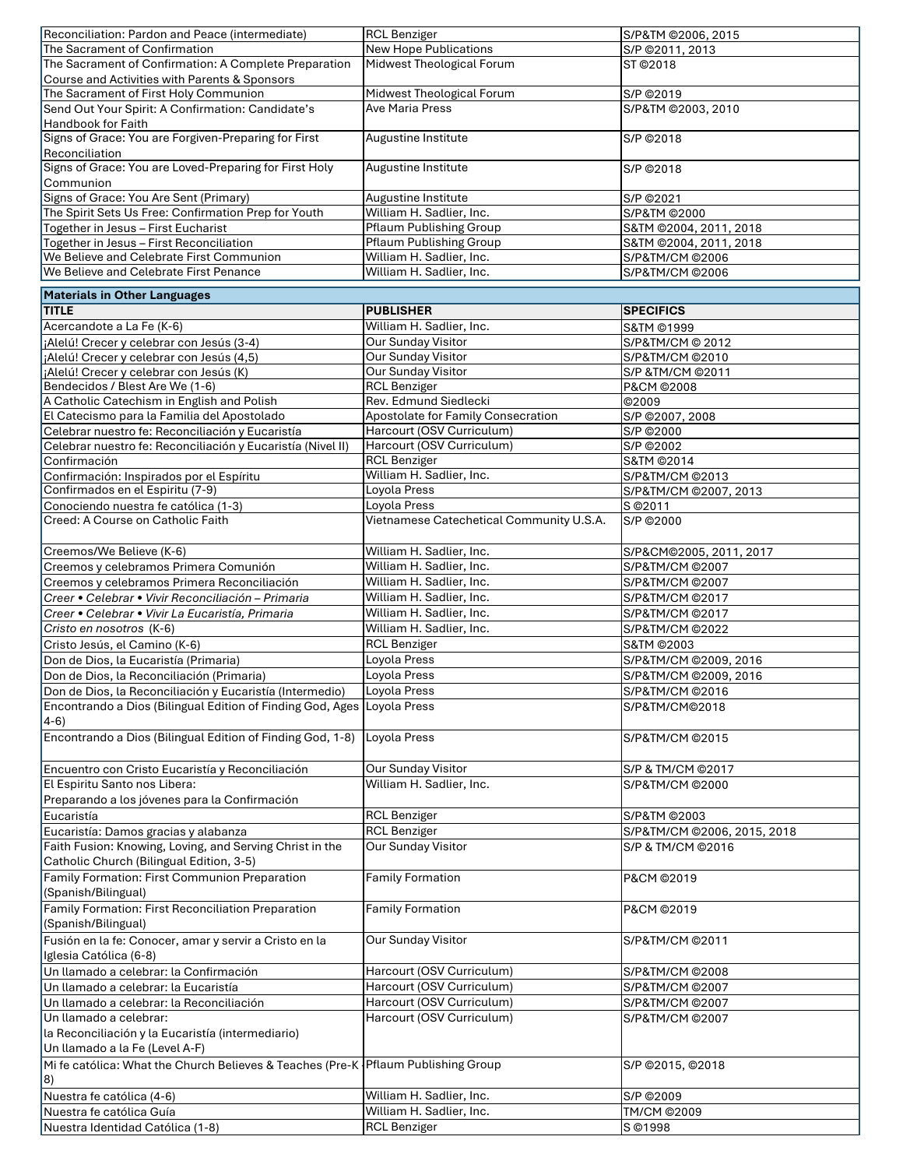| Reconciliation: Pardon and Peace (intermediate)                                     | <b>RCL Benziger</b>                      | S/P&TM @2006, 2015          |
|-------------------------------------------------------------------------------------|------------------------------------------|-----------------------------|
| The Sacrament of Confirmation                                                       | <b>New Hope Publications</b>             | S/P @2011, 2013             |
| The Sacrament of Confirmation: A Complete Preparation                               | Midwest Theological Forum                | ST ©2018                    |
|                                                                                     |                                          |                             |
| Course and Activities with Parents & Sponsors                                       |                                          |                             |
| The Sacrament of First Holy Communion                                               | Midwest Theological Forum                | S/P ©2019                   |
| Send Out Your Spirit: A Confirmation: Candidate's                                   | <b>Ave Maria Press</b>                   | S/P&TM @2003, 2010          |
| <b>Handbook for Faith</b>                                                           |                                          |                             |
| Signs of Grace: You are Forgiven-Preparing for First                                | Augustine Institute                      | S/P ©2018                   |
| Reconciliation                                                                      |                                          |                             |
| Signs of Grace: You are Loved-Preparing for First Holy                              | Augustine Institute                      | S/P ©2018                   |
| Communion                                                                           |                                          |                             |
|                                                                                     |                                          |                             |
| Signs of Grace: You Are Sent (Primary)                                              | Augustine Institute                      | S/P ©2021                   |
| The Spirit Sets Us Free: Confirmation Prep for Youth                                | William H. Sadlier, Inc.                 | S/P&TM @2000                |
| Together in Jesus – First Eucharist                                                 | <b>Pflaum Publishing Group</b>           | S&TM @2004, 2011, 2018      |
| Together in Jesus - First Reconciliation                                            | <b>Pflaum Publishing Group</b>           | S&TM @2004, 2011, 2018      |
| We Believe and Celebrate First Communion                                            | William H. Sadlier, Inc.                 | S/P&TM/CM @2006             |
| We Believe and Celebrate First Penance                                              | William H. Sadlier, Inc.                 | S/P&TM/CM @2006             |
|                                                                                     |                                          |                             |
| <b>Materials in Other Languages</b>                                                 |                                          |                             |
| <b>TITLE</b>                                                                        | <b>PUBLISHER</b>                         | <b>SPECIFICS</b>            |
|                                                                                     |                                          |                             |
| Acercandote a La Fe (K-6)                                                           | William H. Sadlier, Inc.                 | <b>S&amp;TM ©1999</b>       |
| ¡Alelú! Crecer y celebrar con Jesús (3-4)                                           | <b>Our Sunday Visitor</b>                | S/P&TM/CM @ 2012            |
| ¡Alelú! Crecer y celebrar con Jesús (4,5)                                           | <b>Our Sunday Visitor</b>                | S/P&TM/CM @2010             |
| ¡Alelú! Crecer y celebrar con Jesús (K)                                             | <b>Our Sunday Visitor</b>                | S/P &TM/CM @2011            |
| Bendecidos / Blest Are We (1-6)                                                     | <b>RCL Benziger</b>                      | P&CM ©2008                  |
|                                                                                     |                                          |                             |
| A Catholic Catechism in English and Polish                                          | Rev. Edmund Siedlecki                    | ©2009                       |
| El Catecismo para la Familia del Apostolado                                         | Apostolate for Family Consecration       | S/P @2007, 2008             |
| Celebrar nuestro fe: Reconciliación y Eucaristía                                    | Harcourt (OSV Curriculum)                | S/P ©2000                   |
| Celebrar nuestro fe: Reconciliación y Eucaristía (Nivel II)                         | Harcourt (OSV Curriculum)                | S/P ©2002                   |
| Confirmación                                                                        | <b>RCL Benziger</b>                      | <b>S&amp;TM ©2014</b>       |
|                                                                                     | William H. Sadlier, Inc.                 |                             |
| Confirmación: Inspirados por el Espíritu                                            |                                          | S/P&TM/CM @2013             |
| Confirmados en el Espiritu (7-9)                                                    | Loyola Press                             | S/P&TM/CM @2007, 2013       |
| Conociendo nuestra fe católica (1-3)                                                | Loyola Press                             | S @2011                     |
| Creed: A Course on Catholic Faith                                                   | Vietnamese Catechetical Community U.S.A. | S/P ©2000                   |
|                                                                                     |                                          |                             |
| Creemos/We Believe (K-6)                                                            | William H. Sadlier, Inc.                 |                             |
|                                                                                     |                                          | S/P&CM@2005, 2011, 2017     |
| Creemos y celebramos Primera Comunión                                               | William H. Sadlier, Inc.                 | S/P&TM/CM @2007             |
| Creemos y celebramos Primera Reconciliación                                         | William H. Sadlier, Inc.                 | S/P&TM/CM @2007             |
| Creer • Celebrar • Vivir Reconciliación - Primaria                                  | William H. Sadlier, Inc.                 | S/P&TM/CM @2017             |
| Creer • Celebrar • Vivir La Eucaristía, Primaria                                    | William H. Sadlier, Inc.                 | S/P&TM/CM @2017             |
|                                                                                     |                                          |                             |
| Cristo en nosotros (K-6)                                                            | William H. Sadlier, Inc.                 | S/P&TM/CM @2022             |
| Cristo Jesús, el Camino (K-6)                                                       | <b>RCL Benziger</b>                      | S&TM ©2003                  |
| Don de Dios, la Eucaristía (Primaria)                                               | Loyola Press                             | S/P&TM/CM @2009, 2016       |
| Don de Dios, la Reconciliación (Primaria)                                           | Loyola Press                             | S/P&TM/CM @2009, 2016       |
|                                                                                     |                                          |                             |
| Don de Dios, la Reconciliación y Eucaristía (Intermedio)                            | Loyola Press                             | S/P&TM/CM @2016             |
| Encontrando a Dios (Bilingual Edition of Finding God, Ages                          | Loyola Press                             | S/P&TM/CM@2018              |
| $ 4-6 $                                                                             |                                          |                             |
| Encontrando a Dios (Bilingual Edition of Finding God, 1-8)                          | Loyola Press                             | S/P&TM/CM @2015             |
|                                                                                     |                                          |                             |
|                                                                                     |                                          |                             |
| Encuentro con Cristo Eucaristía y Reconciliación                                    | <b>Our Sunday Visitor</b>                | S/P & TM/CM @2017           |
| El Espiritu Santo nos Libera:                                                       | William H. Sadlier, Inc.                 | S/P&TM/CM ©2000             |
| Preparando a los jóvenes para la Confirmación                                       |                                          |                             |
| Eucaristía                                                                          | <b>RCL Benziger</b>                      | S/P&TM @2003                |
|                                                                                     | <b>RCL Benziger</b>                      |                             |
| Eucaristía: Damos gracias y alabanza                                                |                                          | S/P&TM/CM @2006, 2015, 2018 |
| Faith Fusion: Knowing, Loving, and Serving Christ in the                            | <b>Our Sunday Visitor</b>                | S/P & TM/CM @2016           |
| Catholic Church (Bilingual Edition, 3-5)                                            |                                          |                             |
| <b>Family Formation: First Communion Preparation</b>                                | <b>Family Formation</b>                  | P&CM ©2019                  |
| (Spanish/Bilingual)                                                                 |                                          |                             |
|                                                                                     |                                          |                             |
| Family Formation: First Reconciliation Preparation                                  | <b>Family Formation</b>                  | P&CM ©2019                  |
| (Spanish/Bilingual)                                                                 |                                          |                             |
| Fusión en la fe: Conocer, amar y servir a Cristo en la                              | <b>Our Sunday Visitor</b>                | S/P&TM/CM @2011             |
| Iglesia Católica (6-8)                                                              |                                          |                             |
|                                                                                     |                                          |                             |
| Un llamado a celebrar: la Confirmación                                              | Harcourt (OSV Curriculum)                | S/P&TM/CM @2008             |
| Un llamado a celebrar: la Eucaristía                                                | Harcourt (OSV Curriculum)                | S/P&TM/CM @2007             |
| Un llamado a celebrar: la Reconciliación                                            | Harcourt (OSV Curriculum)                | S/P&TM/CM @2007             |
| Un llamado a celebrar:                                                              | Harcourt (OSV Curriculum)                | S/P&TM/CM @2007             |
|                                                                                     |                                          |                             |
| la Reconciliación y la Eucaristía (intermediario)                                   |                                          |                             |
| Un llamado a la Fe (Level A-F)                                                      |                                          |                             |
| Mi fe católica: What the Church Believes & Teaches (Pre-K   Pflaum Publishing Group |                                          | S/P @2015, @2018            |
| 8)                                                                                  |                                          |                             |
| Nuestra fe católica (4-6)                                                           | William H. Sadlier, Inc.                 | S/P ©2009                   |
|                                                                                     |                                          |                             |
| Nuestra fe católica Guía                                                            | William H. Sadlier, Inc.                 | TM/CM ©2009                 |
| Nuestra Identidad Católica (1-8)                                                    | <b>RCL Benziger</b>                      | S ©1998                     |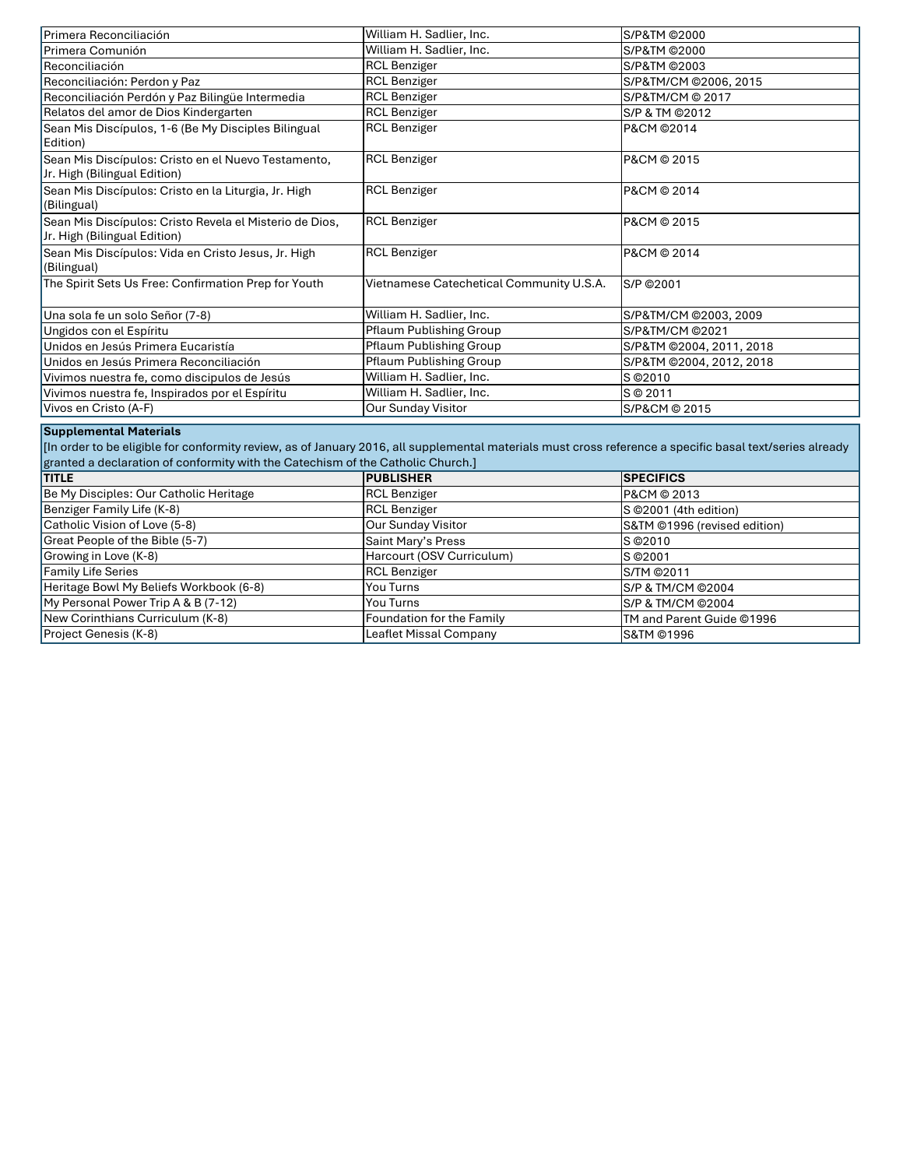| Primera Reconciliación                                                                                                                                                                                                                                                       | William H. Sadlier, Inc.                 | S/P&TM @2000                 |  |
|------------------------------------------------------------------------------------------------------------------------------------------------------------------------------------------------------------------------------------------------------------------------------|------------------------------------------|------------------------------|--|
| Primera Comunión                                                                                                                                                                                                                                                             | William H. Sadlier, Inc.                 | S/P&TM @2000                 |  |
| Reconciliación                                                                                                                                                                                                                                                               | <b>RCL Benziger</b>                      | S/P&TM @2003                 |  |
| Reconciliación: Perdon y Paz                                                                                                                                                                                                                                                 | <b>RCL Benziger</b>                      | S/P&TM/CM @2006, 2015        |  |
| Reconciliación Perdón y Paz Bilingüe Intermedia                                                                                                                                                                                                                              | <b>RCL Benziger</b>                      | S/P&TM/CM @ 2017             |  |
| Relatos del amor de Dios Kindergarten                                                                                                                                                                                                                                        | <b>RCL Benziger</b>                      | S/P & TM @2012               |  |
| Sean Mis Discípulos, 1-6 (Be My Disciples Bilingual<br>Edition)                                                                                                                                                                                                              | <b>RCL Benziger</b>                      | P&CM ©2014                   |  |
| Sean Mis Discípulos: Cristo en el Nuevo Testamento,<br>Jr. High (Bilingual Edition)                                                                                                                                                                                          | <b>RCL Benziger</b>                      | P&CM © 2015                  |  |
| Sean Mis Discípulos: Cristo en la Liturgia, Jr. High<br>(Bilingual)                                                                                                                                                                                                          | <b>RCL Benziger</b>                      | P&CM © 2014                  |  |
| Sean Mis Discípulos: Cristo Revela el Misterio de Dios,<br>Jr. High (Bilingual Edition)                                                                                                                                                                                      | <b>RCL Benziger</b>                      | P&CM © 2015                  |  |
| Sean Mis Discípulos: Vida en Cristo Jesus, Jr. High<br>(Bilingual)                                                                                                                                                                                                           | <b>RCL Benziger</b>                      | P&CM © 2014                  |  |
| The Spirit Sets Us Free: Confirmation Prep for Youth                                                                                                                                                                                                                         | Vietnamese Catechetical Community U.S.A. | S/P ©2001                    |  |
| Una sola fe un solo Señor (7-8)                                                                                                                                                                                                                                              | William H. Sadlier, Inc.                 | S/P&TM/CM @2003, 2009        |  |
| Ungidos con el Espíritu                                                                                                                                                                                                                                                      | <b>Pflaum Publishing Group</b>           | S/P&TM/CM @2021              |  |
| Unidos en Jesús Primera Eucaristía                                                                                                                                                                                                                                           | <b>Pflaum Publishing Group</b>           | S/P&TM @2004, 2011, 2018     |  |
| Unidos en Jesús Primera Reconciliación                                                                                                                                                                                                                                       | <b>Pflaum Publishing Group</b>           | S/P&TM @2004, 2012, 2018     |  |
| Vivimos nuestra fe, como discipulos de Jesús                                                                                                                                                                                                                                 | William H. Sadlier, Inc.                 | S © 2010                     |  |
| Vivimos nuestra fe, Inspirados por el Espíritu                                                                                                                                                                                                                               | William H. Sadlier, Inc.                 | S © 2011                     |  |
| Vivos en Cristo (A-F)                                                                                                                                                                                                                                                        | Our Sunday Visitor                       | S/P&CM @ 2015                |  |
| <b>Supplemental Materials</b><br>[In order to be eligible for conformity review, as of January 2016, all supplemental materials must cross reference a specific basal text/series already<br>granted a declaration of conformity with the Catechism of the Catholic Church.] |                                          |                              |  |
| <b>TITLE</b>                                                                                                                                                                                                                                                                 | <b>PUBLISHER</b>                         | <b>SPECIFICS</b>             |  |
| Be My Disciples: Our Catholic Heritage                                                                                                                                                                                                                                       | <b>RCL Benziger</b>                      | P&CM © 2013                  |  |
| Benziger Family Life (K-8)                                                                                                                                                                                                                                                   | <b>RCL Benziger</b>                      | S @2001 (4th edition)        |  |
| Catholic Vision of Love (5-8)                                                                                                                                                                                                                                                | <b>Our Sunday Visitor</b>                | S&TM @1996 (revised edition) |  |
| Great People of the Bible (5-7)                                                                                                                                                                                                                                              | Saint Mary's Press                       | S © 2010                     |  |
| Growing in Love (K-8)                                                                                                                                                                                                                                                        | Harcourt (OSV Curriculum)                | S © 2001                     |  |
| <b>Family Life Series</b>                                                                                                                                                                                                                                                    | <b>RCL Benziger</b>                      | S/TM @2011                   |  |
| Heritage Bowl My Beliefs Workbook (6-8)                                                                                                                                                                                                                                      | You Turns                                | S/P & TM/CM @2004            |  |
| My Personal Power Trip A & B (7-12)                                                                                                                                                                                                                                          | You Turns                                | S/P & TM/CM @2004            |  |
| New Corinthians Curriculum (K-8)                                                                                                                                                                                                                                             | Foundation for the Family                | TM and Parent Guide ©1996    |  |

Leaflet Missal Company

S&TM ©1996

Project Genesis (K-8)